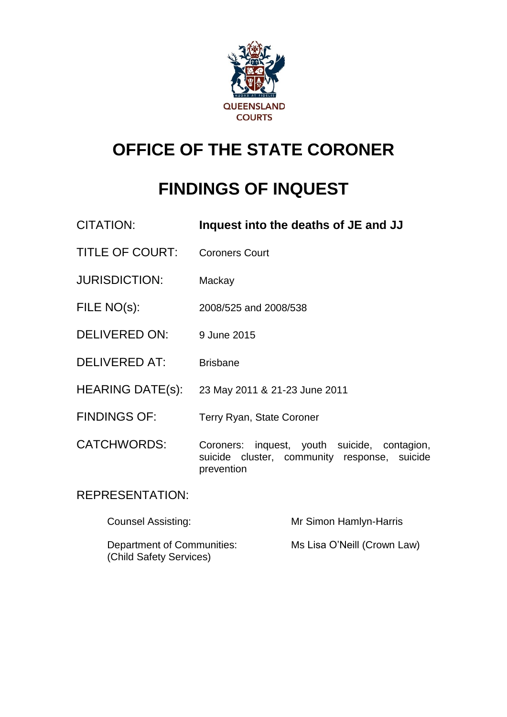

## **OFFICE OF THE STATE CORONER**

# **FINDINGS OF INQUEST**

| CITATION:              | Inquest into the deaths of JE and JJ                                                                       |
|------------------------|------------------------------------------------------------------------------------------------------------|
| <b>TITLE OF COURT:</b> | <b>Coroners Court</b>                                                                                      |
| <b>JURISDICTION:</b>   | Mackay                                                                                                     |
| FILE NO(s):            | 2008/525 and 2008/538                                                                                      |
| <b>DELIVERED ON:</b>   | 9 June 2015                                                                                                |
| DELIVERED AT:          | <b>Brisbane</b>                                                                                            |
| HEARING DATE(s):       | 23 May 2011 & 21-23 June 2011                                                                              |
| <b>FINDINGS OF:</b>    | Terry Ryan, State Coroner                                                                                  |
| <b>CATCHWORDS:</b>     | Coroners: inquest, youth suicide, contagion,<br>suicide cluster, community response, suicide<br>prevention |
| <b>REPRESENTATION:</b> |                                                                                                            |

| Counsel Assisting:                                    | Mr Simon Hamlyn-Harris      |
|-------------------------------------------------------|-----------------------------|
| Department of Communities:<br>(Child Safety Services) | Ms Lisa O'Neill (Crown Law) |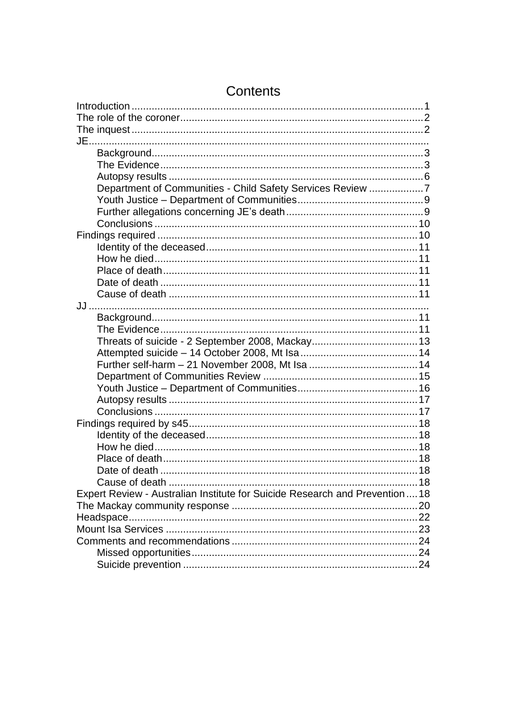| Department of Communities - Child Safety Services Review 7                  |  |
|-----------------------------------------------------------------------------|--|
|                                                                             |  |
|                                                                             |  |
|                                                                             |  |
|                                                                             |  |
|                                                                             |  |
|                                                                             |  |
|                                                                             |  |
|                                                                             |  |
|                                                                             |  |
|                                                                             |  |
|                                                                             |  |
|                                                                             |  |
|                                                                             |  |
|                                                                             |  |
|                                                                             |  |
|                                                                             |  |
|                                                                             |  |
|                                                                             |  |
|                                                                             |  |
|                                                                             |  |
|                                                                             |  |
|                                                                             |  |
|                                                                             |  |
|                                                                             |  |
|                                                                             |  |
| Expert Review - Australian Institute for Suicide Research and Prevention 18 |  |
|                                                                             |  |
|                                                                             |  |
|                                                                             |  |
|                                                                             |  |
|                                                                             |  |
|                                                                             |  |
|                                                                             |  |

## Contents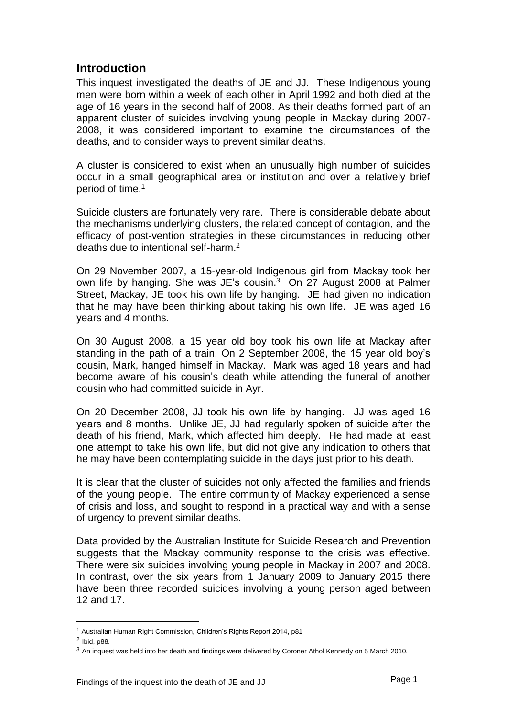### <span id="page-2-0"></span>**Introduction**

This inquest investigated the deaths of JE and JJ. These Indigenous young men were born within a week of each other in April 1992 and both died at the age of 16 years in the second half of 2008. As their deaths formed part of an apparent cluster of suicides involving young people in Mackay during 2007- 2008, it was considered important to examine the circumstances of the deaths, and to consider ways to prevent similar deaths.

A cluster is considered to exist when an unusually high number of suicides occur in a small geographical area or institution and over a relatively brief period of time. 1

Suicide clusters are fortunately very rare. There is considerable debate about the mechanisms underlying clusters, the related concept of contagion, and the efficacy of post-vention strategies in these circumstances in reducing other deaths due to intentional self-harm.<sup>2</sup>

On 29 November 2007, a 15-year-old Indigenous girl from Mackay took her own life by hanging. She was JE's cousin.<sup>3</sup> On 27 August 2008 at Palmer Street, Mackay, JE took his own life by hanging. JE had given no indication that he may have been thinking about taking his own life. JE was aged 16 years and 4 months.

On 30 August 2008, a 15 year old boy took his own life at Mackay after standing in the path of a train. On 2 September 2008, the 15 year old boy's cousin, Mark, hanged himself in Mackay. Mark was aged 18 years and had become aware of his cousin's death while attending the funeral of another cousin who had committed suicide in Ayr.

On 20 December 2008, JJ took his own life by hanging. JJ was aged 16 years and 8 months. Unlike JE, JJ had regularly spoken of suicide after the death of his friend, Mark, which affected him deeply. He had made at least one attempt to take his own life, but did not give any indication to others that he may have been contemplating suicide in the days just prior to his death.

It is clear that the cluster of suicides not only affected the families and friends of the young people. The entire community of Mackay experienced a sense of crisis and loss, and sought to respond in a practical way and with a sense of urgency to prevent similar deaths.

Data provided by the Australian Institute for Suicide Research and Prevention suggests that the Mackay community response to the crisis was effective. There were six suicides involving young people in Mackay in 2007 and 2008. In contrast, over the six years from 1 January 2009 to January 2015 there have been three recorded suicides involving a young person aged between 12 and 17.

<sup>1</sup> Australian Human Right Commission, Children's Rights Report 2014, p81

<sup>&</sup>lt;sup>2</sup> Ibid, p88.

<sup>3</sup> An inquest was held into her death and findings were delivered by Coroner Athol Kennedy on 5 March 2010.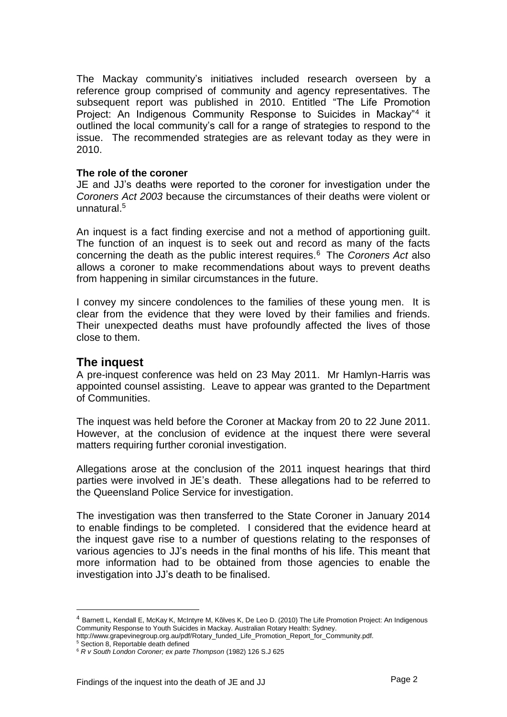The Mackay community's initiatives included research overseen by a reference group comprised of community and agency representatives. The subsequent report was published in 2010. Entitled "The Life Promotion Project: An Indigenous Community Response to Suicides in Mackay"<sup>4</sup> it outlined the local community's call for a range of strategies to respond to the issue. The recommended strategies are as relevant today as they were in 2010.

#### <span id="page-3-0"></span>**The role of the coroner**

JE and JJ's deaths were reported to the coroner for investigation under the *Coroners Act 2003* because the circumstances of their deaths were violent or unnatural. 5

An inquest is a fact finding exercise and not a method of apportioning guilt. The function of an inquest is to seek out and record as many of the facts concerning the death as the public interest requires.<sup>6</sup> The *Coroners Act* also allows a coroner to make recommendations about ways to prevent deaths from happening in similar circumstances in the future.

I convey my sincere condolences to the families of these young men. It is clear from the evidence that they were loved by their families and friends. Their unexpected deaths must have profoundly affected the lives of those close to them.

#### <span id="page-3-1"></span>**The inquest**

A pre-inquest conference was held on 23 May 2011. Mr Hamlyn-Harris was appointed counsel assisting. Leave to appear was granted to the Department of Communities.

The inquest was held before the Coroner at Mackay from 20 to 22 June 2011. However, at the conclusion of evidence at the inquest there were several matters requiring further coronial investigation.

Allegations arose at the conclusion of the 2011 inquest hearings that third parties were involved in JE's death. These allegations had to be referred to the Queensland Police Service for investigation.

The investigation was then transferred to the State Coroner in January 2014 to enable findings to be completed. I considered that the evidence heard at the inquest gave rise to a number of questions relating to the responses of various agencies to JJ's needs in the final months of his life. This meant that more information had to be obtained from those agencies to enable the investigation into JJ's death to be finalised.

<sup>4</sup> Barnett L, Kendall E, McKay K, McIntyre M, Kõlves K, De Leo D. (2010) The Life Promotion Project: An Indigenous Community Response to Youth Suicides in Mackay. Australian Rotary Health: Sydney.

http://www.grapevinegroup.org.au/pdf/Rotary\_funded\_Life\_Promotion\_Report\_for\_Community.pdf.

<sup>&</sup>lt;sup>5</sup> Section 8, Reportable death defined

<sup>6</sup> *R v South London Coroner; ex parte Thompson* (1982) 126 S.J 625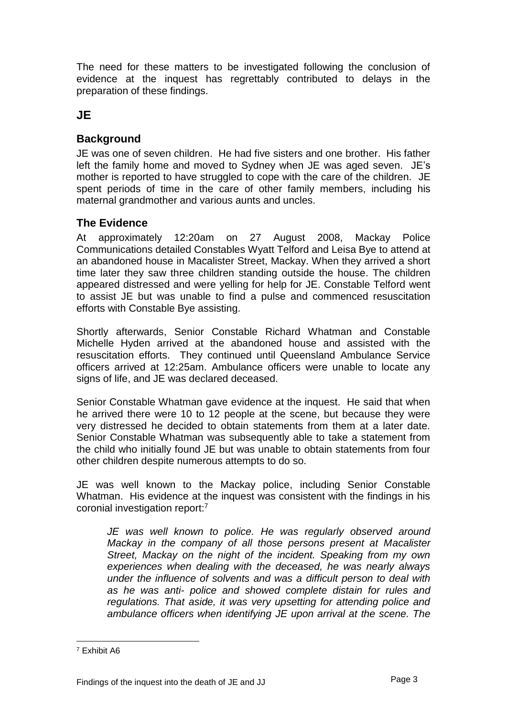The need for these matters to be investigated following the conclusion of evidence at the inquest has regrettably contributed to delays in the preparation of these findings.

## **JE**

### <span id="page-4-0"></span>**Background**

JE was one of seven children. He had five sisters and one brother. His father left the family home and moved to Sydney when JE was aged seven. JE's mother is reported to have struggled to cope with the care of the children. JE spent periods of time in the care of other family members, including his maternal grandmother and various aunts and uncles.

## <span id="page-4-1"></span>**The Evidence**

At approximately 12:20am on 27 August 2008, Mackay Police Communications detailed Constables Wyatt Telford and Leisa Bye to attend at an abandoned house in Macalister Street, Mackay. When they arrived a short time later they saw three children standing outside the house. The children appeared distressed and were yelling for help for JE. Constable Telford went to assist JE but was unable to find a pulse and commenced resuscitation efforts with Constable Bye assisting.

Shortly afterwards, Senior Constable Richard Whatman and Constable Michelle Hyden arrived at the abandoned house and assisted with the resuscitation efforts. They continued until Queensland Ambulance Service officers arrived at 12:25am. Ambulance officers were unable to locate any signs of life, and JE was declared deceased.

Senior Constable Whatman gave evidence at the inquest. He said that when he arrived there were 10 to 12 people at the scene, but because they were very distressed he decided to obtain statements from them at a later date. Senior Constable Whatman was subsequently able to take a statement from the child who initially found JE but was unable to obtain statements from four other children despite numerous attempts to do so.

JE was well known to the Mackay police, including Senior Constable Whatman. His evidence at the inquest was consistent with the findings in his coronial investigation report: 7

*JE was well known to police. He was regularly observed around Mackay in the company of all those persons present at Macalister Street, Mackay on the night of the incident. Speaking from my own experiences when dealing with the deceased, he was nearly always under the influence of solvents and was a difficult person to deal with as he was anti- police and showed complete distain for rules and regulations. That aside, it was very upsetting for attending police and ambulance officers when identifying JE upon arrival at the scene. The* 

<sup>7</sup> Exhibit A6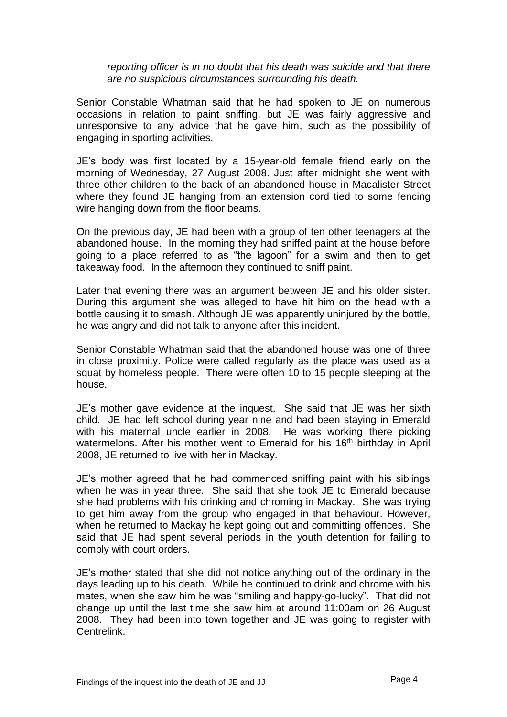*reporting officer is in no doubt that his death was suicide and that there are no suspicious circumstances surrounding his death.*

Senior Constable Whatman said that he had spoken to JE on numerous occasions in relation to paint sniffing, but JE was fairly aggressive and unresponsive to any advice that he gave him, such as the possibility of engaging in sporting activities.

JE's body was first located by a 15-year-old female friend early on the morning of Wednesday, 27 August 2008. Just after midnight she went with three other children to the back of an abandoned house in Macalister Street where they found JE hanging from an extension cord tied to some fencing wire hanging down from the floor beams.

On the previous day, JE had been with a group of ten other teenagers at the abandoned house. In the morning they had sniffed paint at the house before going to a place referred to as "the lagoon" for a swim and then to get takeaway food. In the afternoon they continued to sniff paint.

Later that evening there was an argument between JE and his older sister. During this argument she was alleged to have hit him on the head with a bottle causing it to smash. Although JE was apparently uninjured by the bottle, he was angry and did not talk to anyone after this incident.

Senior Constable Whatman said that the abandoned house was one of three in close proximity. Police were called regularly as the place was used as a squat by homeless people. There were often 10 to 15 people sleeping at the house.

JE's mother gave evidence at the inquest. She said that JE was her sixth child. JE had left school during year nine and had been staying in Emerald with his maternal uncle earlier in 2008. He was working there picking watermelons. After his mother went to Emerald for his 16<sup>th</sup> birthday in April 2008, JE returned to live with her in Mackay.

JE's mother agreed that he had commenced sniffing paint with his siblings when he was in year three. She said that she took JE to Emerald because she had problems with his drinking and chroming in Mackay. She was trying to get him away from the group who engaged in that behaviour. However, when he returned to Mackay he kept going out and committing offences. She said that JE had spent several periods in the youth detention for failing to comply with court orders.

JE's mother stated that she did not notice anything out of the ordinary in the days leading up to his death. While he continued to drink and chrome with his mates, when she saw him he was "smiling and happy-go-lucky". That did not change up until the last time she saw him at around 11:00am on 26 August 2008. They had been into town together and JE was going to register with Centrelink.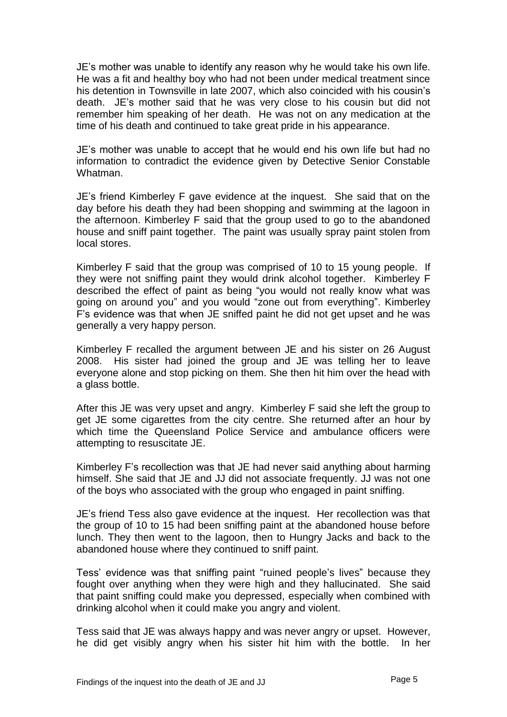JE's mother was unable to identify any reason why he would take his own life. He was a fit and healthy boy who had not been under medical treatment since his detention in Townsville in late 2007, which also coincided with his cousin's death. JE's mother said that he was very close to his cousin but did not remember him speaking of her death. He was not on any medication at the time of his death and continued to take great pride in his appearance.

JE's mother was unable to accept that he would end his own life but had no information to contradict the evidence given by Detective Senior Constable Whatman.

JE's friend Kimberley F gave evidence at the inquest. She said that on the day before his death they had been shopping and swimming at the lagoon in the afternoon. Kimberley F said that the group used to go to the abandoned house and sniff paint together. The paint was usually spray paint stolen from local stores.

Kimberley F said that the group was comprised of 10 to 15 young people. If they were not sniffing paint they would drink alcohol together. Kimberley F described the effect of paint as being "you would not really know what was going on around you" and you would "zone out from everything". Kimberley F's evidence was that when JE sniffed paint he did not get upset and he was generally a very happy person.

Kimberley F recalled the argument between JE and his sister on 26 August 2008. His sister had joined the group and JE was telling her to leave everyone alone and stop picking on them. She then hit him over the head with a glass bottle.

After this JE was very upset and angry. Kimberley F said she left the group to get JE some cigarettes from the city centre. She returned after an hour by which time the Queensland Police Service and ambulance officers were attempting to resuscitate JE.

Kimberley F's recollection was that JE had never said anything about harming himself. She said that JE and JJ did not associate frequently. JJ was not one of the boys who associated with the group who engaged in paint sniffing.

JE's friend Tess also gave evidence at the inquest. Her recollection was that the group of 10 to 15 had been sniffing paint at the abandoned house before lunch. They then went to the lagoon, then to Hungry Jacks and back to the abandoned house where they continued to sniff paint.

Tess' evidence was that sniffing paint "ruined people's lives" because they fought over anything when they were high and they hallucinated. She said that paint sniffing could make you depressed, especially when combined with drinking alcohol when it could make you angry and violent.

Tess said that JE was always happy and was never angry or upset. However, he did get visibly angry when his sister hit him with the bottle. In her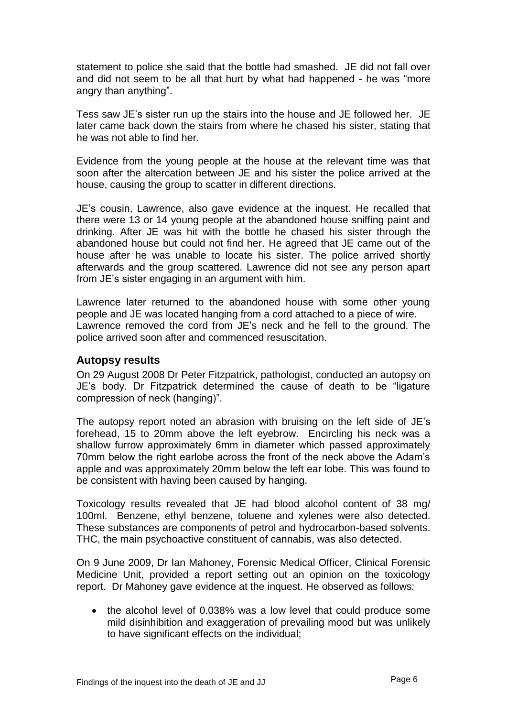statement to police she said that the bottle had smashed. JE did not fall over and did not seem to be all that hurt by what had happened - he was "more angry than anything".

Tess saw JE's sister run up the stairs into the house and JE followed her. JE later came back down the stairs from where he chased his sister, stating that he was not able to find her.

Evidence from the young people at the house at the relevant time was that soon after the altercation between JE and his sister the police arrived at the house, causing the group to scatter in different directions.

JE's cousin, Lawrence, also gave evidence at the inquest. He recalled that there were 13 or 14 young people at the abandoned house sniffing paint and drinking. After JE was hit with the bottle he chased his sister through the abandoned house but could not find her. He agreed that JE came out of the house after he was unable to locate his sister. The police arrived shortly afterwards and the group scattered. Lawrence did not see any person apart from JE's sister engaging in an argument with him.

Lawrence later returned to the abandoned house with some other young people and JE was located hanging from a cord attached to a piece of wire. Lawrence removed the cord from JE's neck and he fell to the ground. The police arrived soon after and commenced resuscitation.

#### <span id="page-7-0"></span>**Autopsy results**

On 29 August 2008 Dr Peter Fitzpatrick, pathologist, conducted an autopsy on JE's body. Dr Fitzpatrick determined the cause of death to be "ligature compression of neck (hanging)".

The autopsy report noted an abrasion with bruising on the left side of JE's forehead, 15 to 20mm above the left eyebrow. Encircling his neck was a shallow furrow approximately 6mm in diameter which passed approximately 70mm below the right earlobe across the front of the neck above the Adam's apple and was approximately 20mm below the left ear lobe. This was found to be consistent with having been caused by hanging.

Toxicology results revealed that JE had blood alcohol content of 38 mg/ 100ml. Benzene, ethyl benzene, toluene and xylenes were also detected. These substances are components of petrol and hydrocarbon-based solvents. THC, the main psychoactive constituent of cannabis, was also detected.

On 9 June 2009, Dr Ian Mahoney, Forensic Medical Officer, Clinical Forensic Medicine Unit, provided a report setting out an opinion on the toxicology report. Dr Mahoney gave evidence at the inquest. He observed as follows:

• the alcohol level of 0.038% was a low level that could produce some mild disinhibition and exaggeration of prevailing mood but was unlikely to have significant effects on the individual;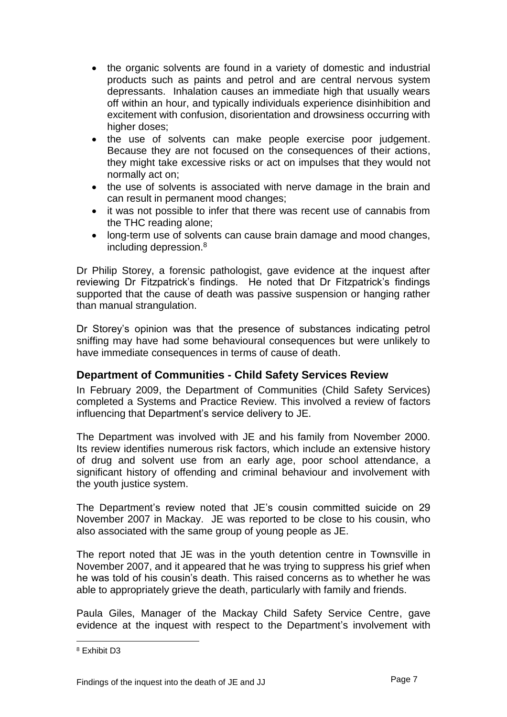- the organic solvents are found in a variety of domestic and industrial products such as paints and petrol and are central nervous system depressants. Inhalation causes an immediate high that usually wears off within an hour, and typically individuals experience disinhibition and excitement with confusion, disorientation and drowsiness occurring with higher doses:
- the use of solvents can make people exercise poor judgement. Because they are not focused on the consequences of their actions, they might take excessive risks or act on impulses that they would not normally act on;
- the use of solvents is associated with nerve damage in the brain and can result in permanent mood changes;
- it was not possible to infer that there was recent use of cannabis from the THC reading alone;
- long-term use of solvents can cause brain damage and mood changes, including depression.<sup>8</sup>

Dr Philip Storey, a forensic pathologist, gave evidence at the inquest after reviewing Dr Fitzpatrick's findings. He noted that Dr Fitzpatrick's findings supported that the cause of death was passive suspension or hanging rather than manual strangulation.

Dr Storey's opinion was that the presence of substances indicating petrol sniffing may have had some behavioural consequences but were unlikely to have immediate consequences in terms of cause of death.

#### <span id="page-8-0"></span>**Department of Communities - Child Safety Services Review**

In February 2009, the Department of Communities (Child Safety Services) completed a Systems and Practice Review. This involved a review of factors influencing that Department's service delivery to JE.

The Department was involved with JE and his family from November 2000. Its review identifies numerous risk factors, which include an extensive history of drug and solvent use from an early age, poor school attendance, a significant history of offending and criminal behaviour and involvement with the youth justice system.

The Department's review noted that JE's cousin committed suicide on 29 November 2007 in Mackay. JE was reported to be close to his cousin, who also associated with the same group of young people as JE.

The report noted that JE was in the youth detention centre in Townsville in November 2007, and it appeared that he was trying to suppress his grief when he was told of his cousin's death. This raised concerns as to whether he was able to appropriately grieve the death, particularly with family and friends.

Paula Giles, Manager of the Mackay Child Safety Service Centre, gave evidence at the inquest with respect to the Department's involvement with

<sup>8</sup> Exhibit D3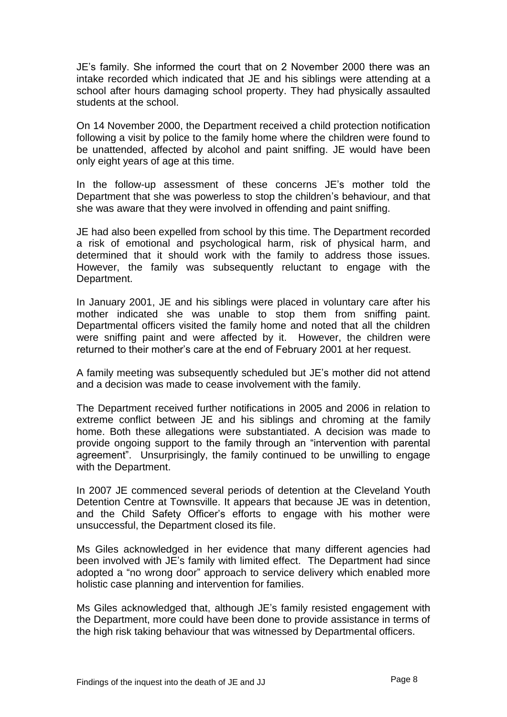JE's family. She informed the court that on 2 November 2000 there was an intake recorded which indicated that JE and his siblings were attending at a school after hours damaging school property. They had physically assaulted students at the school.

On 14 November 2000, the Department received a child protection notification following a visit by police to the family home where the children were found to be unattended, affected by alcohol and paint sniffing. JE would have been only eight years of age at this time.

In the follow-up assessment of these concerns JE's mother told the Department that she was powerless to stop the children's behaviour, and that she was aware that they were involved in offending and paint sniffing.

JE had also been expelled from school by this time. The Department recorded a risk of emotional and psychological harm, risk of physical harm, and determined that it should work with the family to address those issues. However, the family was subsequently reluctant to engage with the Department.

In January 2001, JE and his siblings were placed in voluntary care after his mother indicated she was unable to stop them from sniffing paint. Departmental officers visited the family home and noted that all the children were sniffing paint and were affected by it. However, the children were returned to their mother's care at the end of February 2001 at her request.

A family meeting was subsequently scheduled but JE's mother did not attend and a decision was made to cease involvement with the family.

The Department received further notifications in 2005 and 2006 in relation to extreme conflict between JE and his siblings and chroming at the family home. Both these allegations were substantiated. A decision was made to provide ongoing support to the family through an "intervention with parental agreement". Unsurprisingly, the family continued to be unwilling to engage with the Department.

In 2007 JE commenced several periods of detention at the Cleveland Youth Detention Centre at Townsville. It appears that because JE was in detention, and the Child Safety Officer's efforts to engage with his mother were unsuccessful, the Department closed its file.

Ms Giles acknowledged in her evidence that many different agencies had been involved with JE's family with limited effect. The Department had since adopted a "no wrong door" approach to service delivery which enabled more holistic case planning and intervention for families.

Ms Giles acknowledged that, although JE's family resisted engagement with the Department, more could have been done to provide assistance in terms of the high risk taking behaviour that was witnessed by Departmental officers.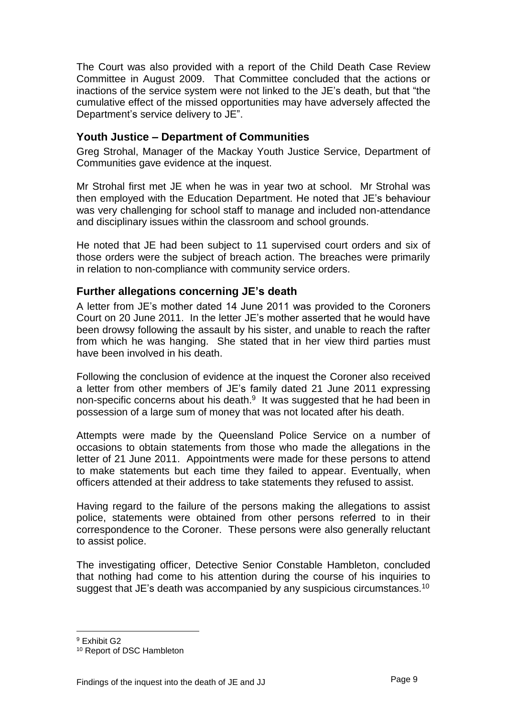The Court was also provided with a report of the Child Death Case Review Committee in August 2009. That Committee concluded that the actions or inactions of the service system were not linked to the JE's death, but that "the cumulative effect of the missed opportunities may have adversely affected the Department's service delivery to JE".

#### <span id="page-10-0"></span>**Youth Justice – Department of Communities**

Greg Strohal, Manager of the Mackay Youth Justice Service, Department of Communities gave evidence at the inquest.

Mr Strohal first met JE when he was in year two at school. Mr Strohal was then employed with the Education Department. He noted that JE's behaviour was very challenging for school staff to manage and included non-attendance and disciplinary issues within the classroom and school grounds.

He noted that JE had been subject to 11 supervised court orders and six of those orders were the subject of breach action. The breaches were primarily in relation to non-compliance with community service orders.

#### <span id="page-10-1"></span>**Further allegations concerning JE's death**

A letter from JE's mother dated 14 June 2011 was provided to the Coroners Court on 20 June 2011. In the letter JE's mother asserted that he would have been drowsy following the assault by his sister, and unable to reach the rafter from which he was hanging. She stated that in her view third parties must have been involved in his death.

Following the conclusion of evidence at the inquest the Coroner also received a letter from other members of JE's family dated 21 June 2011 expressing non-specific concerns about his death.<sup>9</sup> It was suggested that he had been in possession of a large sum of money that was not located after his death.

Attempts were made by the Queensland Police Service on a number of occasions to obtain statements from those who made the allegations in the letter of 21 June 2011. Appointments were made for these persons to attend to make statements but each time they failed to appear. Eventually, when officers attended at their address to take statements they refused to assist.

Having regard to the failure of the persons making the allegations to assist police, statements were obtained from other persons referred to in their correspondence to the Coroner. These persons were also generally reluctant to assist police.

The investigating officer, Detective Senior Constable Hambleton, concluded that nothing had come to his attention during the course of his inquiries to suggest that JE's death was accompanied by any suspicious circumstances.<sup>10</sup>

<sup>9</sup> Exhibit G2

<sup>10</sup> Report of DSC Hambleton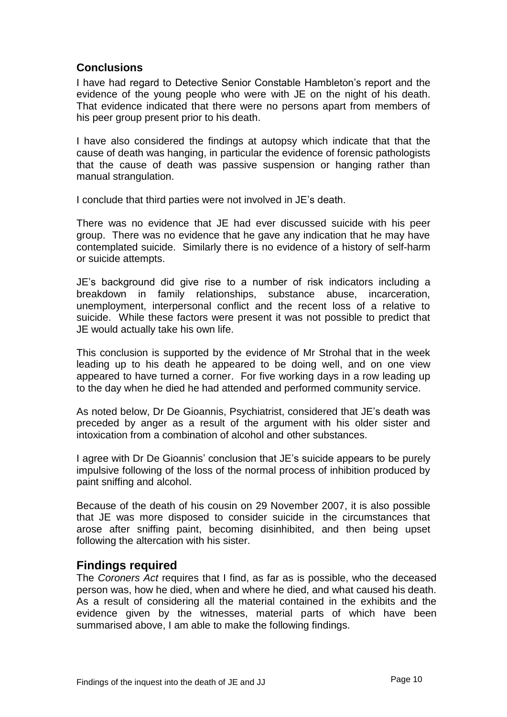#### <span id="page-11-0"></span>**Conclusions**

I have had regard to Detective Senior Constable Hambleton's report and the evidence of the young people who were with JE on the night of his death. That evidence indicated that there were no persons apart from members of his peer group present prior to his death.

I have also considered the findings at autopsy which indicate that that the cause of death was hanging, in particular the evidence of forensic pathologists that the cause of death was passive suspension or hanging rather than manual strangulation.

I conclude that third parties were not involved in JE's death.

There was no evidence that JE had ever discussed suicide with his peer group. There was no evidence that he gave any indication that he may have contemplated suicide. Similarly there is no evidence of a history of self-harm or suicide attempts.

JE's background did give rise to a number of risk indicators including a breakdown in family relationships, substance abuse, incarceration, unemployment, interpersonal conflict and the recent loss of a relative to suicide. While these factors were present it was not possible to predict that JE would actually take his own life.

This conclusion is supported by the evidence of Mr Strohal that in the week leading up to his death he appeared to be doing well, and on one view appeared to have turned a corner. For five working days in a row leading up to the day when he died he had attended and performed community service.

As noted below, Dr De Gioannis, Psychiatrist, considered that JE's death was preceded by anger as a result of the argument with his older sister and intoxication from a combination of alcohol and other substances.

I agree with Dr De Gioannis' conclusion that JE's suicide appears to be purely impulsive following of the loss of the normal process of inhibition produced by paint sniffing and alcohol.

Because of the death of his cousin on 29 November 2007, it is also possible that JE was more disposed to consider suicide in the circumstances that arose after sniffing paint, becoming disinhibited, and then being upset following the altercation with his sister.

#### <span id="page-11-1"></span>**Findings required**

The *Coroners Act* requires that I find, as far as is possible, who the deceased person was, how he died, when and where he died, and what caused his death. As a result of considering all the material contained in the exhibits and the evidence given by the witnesses, material parts of which have been summarised above, I am able to make the following findings.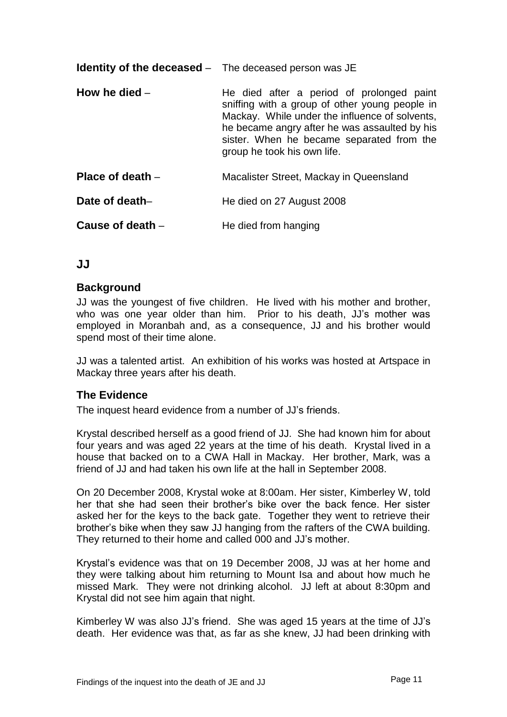<span id="page-12-1"></span><span id="page-12-0"></span>

| <b>Identity of the deceased</b> – The deceased person was JE |                                                                                                                                                                                                                                                                            |
|--------------------------------------------------------------|----------------------------------------------------------------------------------------------------------------------------------------------------------------------------------------------------------------------------------------------------------------------------|
| How he died $-$                                              | He died after a period of prolonged paint<br>sniffing with a group of other young people in<br>Mackay. While under the influence of solvents,<br>he became angry after he was assaulted by his<br>sister. When he became separated from the<br>group he took his own life. |
| Place of death -                                             | Macalister Street, Mackay in Queensland                                                                                                                                                                                                                                    |
| Date of death-                                               | He died on 27 August 2008                                                                                                                                                                                                                                                  |
| Cause of death -                                             | He died from hanging                                                                                                                                                                                                                                                       |

#### <span id="page-12-4"></span><span id="page-12-3"></span><span id="page-12-2"></span>**JJ**

#### <span id="page-12-5"></span>**Background**

JJ was the youngest of five children. He lived with his mother and brother, who was one year older than him. Prior to his death, JJ's mother was employed in Moranbah and, as a consequence, JJ and his brother would spend most of their time alone.

JJ was a talented artist. An exhibition of his works was hosted at Artspace in Mackay three years after his death.

#### <span id="page-12-6"></span>**The Evidence**

The inquest heard evidence from a number of JJ's friends.

Krystal described herself as a good friend of JJ. She had known him for about four years and was aged 22 years at the time of his death. Krystal lived in a house that backed on to a CWA Hall in Mackay. Her brother, Mark, was a friend of JJ and had taken his own life at the hall in September 2008.

On 20 December 2008, Krystal woke at 8:00am. Her sister, Kimberley W, told her that she had seen their brother's bike over the back fence. Her sister asked her for the keys to the back gate. Together they went to retrieve their brother's bike when they saw JJ hanging from the rafters of the CWA building. They returned to their home and called 000 and JJ's mother.

Krystal's evidence was that on 19 December 2008, JJ was at her home and they were talking about him returning to Mount Isa and about how much he missed Mark. They were not drinking alcohol. JJ left at about 8:30pm and Krystal did not see him again that night.

Kimberley W was also JJ's friend. She was aged 15 years at the time of JJ's death. Her evidence was that, as far as she knew, JJ had been drinking with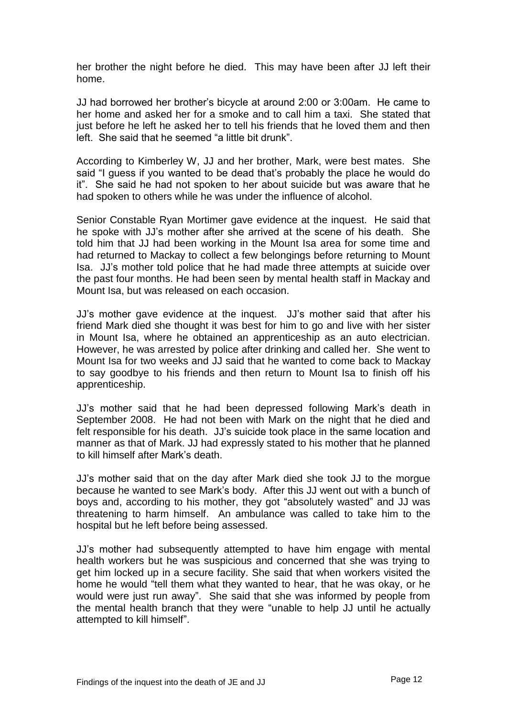her brother the night before he died. This may have been after JJ left their home.

JJ had borrowed her brother's bicycle at around 2:00 or 3:00am. He came to her home and asked her for a smoke and to call him a taxi. She stated that just before he left he asked her to tell his friends that he loved them and then left. She said that he seemed "a little bit drunk".

According to Kimberley W, JJ and her brother, Mark, were best mates. She said "I guess if you wanted to be dead that's probably the place he would do it". She said he had not spoken to her about suicide but was aware that he had spoken to others while he was under the influence of alcohol.

Senior Constable Ryan Mortimer gave evidence at the inquest. He said that he spoke with JJ's mother after she arrived at the scene of his death. She told him that JJ had been working in the Mount Isa area for some time and had returned to Mackay to collect a few belongings before returning to Mount Isa. JJ's mother told police that he had made three attempts at suicide over the past four months. He had been seen by mental health staff in Mackay and Mount Isa, but was released on each occasion.

JJ's mother gave evidence at the inquest. JJ's mother said that after his friend Mark died she thought it was best for him to go and live with her sister in Mount Isa, where he obtained an apprenticeship as an auto electrician. However, he was arrested by police after drinking and called her. She went to Mount Isa for two weeks and JJ said that he wanted to come back to Mackay to say goodbye to his friends and then return to Mount Isa to finish off his apprenticeship.

JJ's mother said that he had been depressed following Mark's death in September 2008. He had not been with Mark on the night that he died and felt responsible for his death. JJ's suicide took place in the same location and manner as that of Mark. JJ had expressly stated to his mother that he planned to kill himself after Mark's death.

JJ's mother said that on the day after Mark died she took JJ to the morgue because he wanted to see Mark's body. After this JJ went out with a bunch of boys and, according to his mother, they got "absolutely wasted" and JJ was threatening to harm himself. An ambulance was called to take him to the hospital but he left before being assessed.

JJ's mother had subsequently attempted to have him engage with mental health workers but he was suspicious and concerned that she was trying to get him locked up in a secure facility. She said that when workers visited the home he would "tell them what they wanted to hear, that he was okay, or he would were just run away". She said that she was informed by people from the mental health branch that they were "unable to help JJ until he actually attempted to kill himself".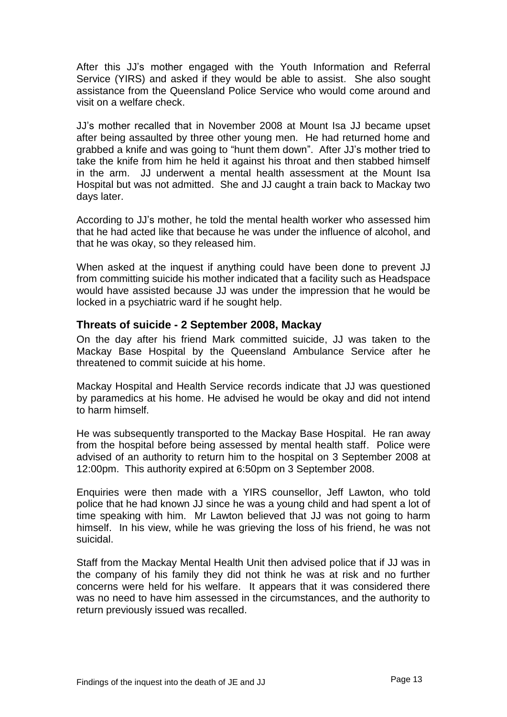After this JJ's mother engaged with the Youth Information and Referral Service (YIRS) and asked if they would be able to assist. She also sought assistance from the Queensland Police Service who would come around and visit on a welfare check.

JJ's mother recalled that in November 2008 at Mount Isa JJ became upset after being assaulted by three other young men. He had returned home and grabbed a knife and was going to "hunt them down". After JJ's mother tried to take the knife from him he held it against his throat and then stabbed himself in the arm. JJ underwent a mental health assessment at the Mount Isa Hospital but was not admitted. She and JJ caught a train back to Mackay two days later.

According to JJ's mother, he told the mental health worker who assessed him that he had acted like that because he was under the influence of alcohol, and that he was okay, so they released him.

When asked at the inquest if anything could have been done to prevent JJ from committing suicide his mother indicated that a facility such as Headspace would have assisted because JJ was under the impression that he would be locked in a psychiatric ward if he sought help.

#### <span id="page-14-0"></span>**Threats of suicide - 2 September 2008, Mackay**

On the day after his friend Mark committed suicide, JJ was taken to the Mackay Base Hospital by the Queensland Ambulance Service after he threatened to commit suicide at his home.

Mackay Hospital and Health Service records indicate that JJ was questioned by paramedics at his home. He advised he would be okay and did not intend to harm himself.

He was subsequently transported to the Mackay Base Hospital. He ran away from the hospital before being assessed by mental health staff. Police were advised of an authority to return him to the hospital on 3 September 2008 at 12:00pm. This authority expired at 6:50pm on 3 September 2008.

Enquiries were then made with a YIRS counsellor, Jeff Lawton, who told police that he had known JJ since he was a young child and had spent a lot of time speaking with him. Mr Lawton believed that JJ was not going to harm himself. In his view, while he was grieving the loss of his friend, he was not suicidal.

Staff from the Mackay Mental Health Unit then advised police that if JJ was in the company of his family they did not think he was at risk and no further concerns were held for his welfare. It appears that it was considered there was no need to have him assessed in the circumstances, and the authority to return previously issued was recalled.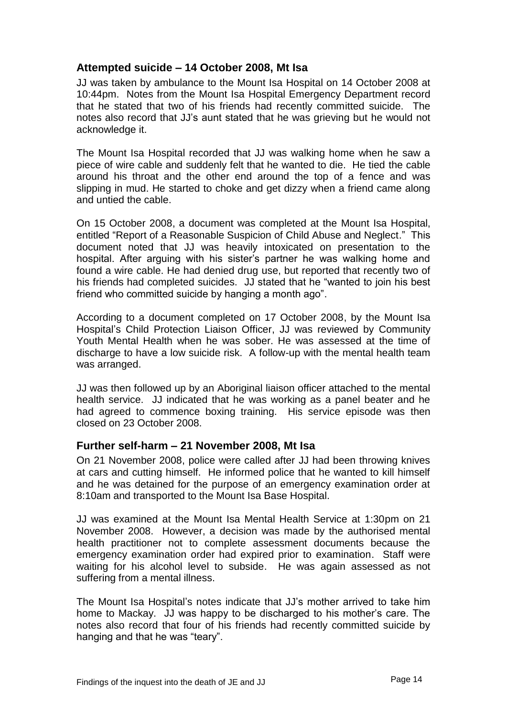#### <span id="page-15-0"></span>**Attempted suicide – 14 October 2008, Mt Isa**

JJ was taken by ambulance to the Mount Isa Hospital on 14 October 2008 at 10:44pm. Notes from the Mount Isa Hospital Emergency Department record that he stated that two of his friends had recently committed suicide. The notes also record that JJ's aunt stated that he was grieving but he would not acknowledge it.

The Mount Isa Hospital recorded that JJ was walking home when he saw a piece of wire cable and suddenly felt that he wanted to die. He tied the cable around his throat and the other end around the top of a fence and was slipping in mud. He started to choke and get dizzy when a friend came along and untied the cable.

On 15 October 2008, a document was completed at the Mount Isa Hospital, entitled "Report of a Reasonable Suspicion of Child Abuse and Neglect." This document noted that JJ was heavily intoxicated on presentation to the hospital. After arguing with his sister's partner he was walking home and found a wire cable. He had denied drug use, but reported that recently two of his friends had completed suicides. JJ stated that he "wanted to join his best friend who committed suicide by hanging a month ago".

According to a document completed on 17 October 2008, by the Mount Isa Hospital's Child Protection Liaison Officer, JJ was reviewed by Community Youth Mental Health when he was sober. He was assessed at the time of discharge to have a low suicide risk. A follow-up with the mental health team was arranged.

JJ was then followed up by an Aboriginal liaison officer attached to the mental health service. JJ indicated that he was working as a panel beater and he had agreed to commence boxing training. His service episode was then closed on 23 October 2008.

#### <span id="page-15-1"></span>**Further self-harm – 21 November 2008, Mt Isa**

On 21 November 2008, police were called after JJ had been throwing knives at cars and cutting himself. He informed police that he wanted to kill himself and he was detained for the purpose of an emergency examination order at 8:10am and transported to the Mount Isa Base Hospital.

JJ was examined at the Mount Isa Mental Health Service at 1:30pm on 21 November 2008. However, a decision was made by the authorised mental health practitioner not to complete assessment documents because the emergency examination order had expired prior to examination. Staff were waiting for his alcohol level to subside. He was again assessed as not suffering from a mental illness.

The Mount Isa Hospital's notes indicate that JJ's mother arrived to take him home to Mackay. JJ was happy to be discharged to his mother's care. The notes also record that four of his friends had recently committed suicide by hanging and that he was "teary".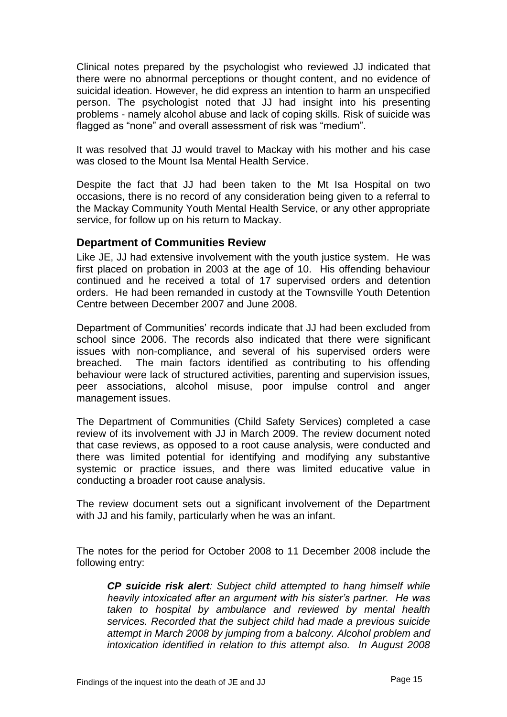Clinical notes prepared by the psychologist who reviewed JJ indicated that there were no abnormal perceptions or thought content, and no evidence of suicidal ideation. However, he did express an intention to harm an unspecified person. The psychologist noted that JJ had insight into his presenting problems - namely alcohol abuse and lack of coping skills. Risk of suicide was flagged as "none" and overall assessment of risk was "medium".

It was resolved that JJ would travel to Mackay with his mother and his case was closed to the Mount Isa Mental Health Service.

Despite the fact that JJ had been taken to the Mt Isa Hospital on two occasions, there is no record of any consideration being given to a referral to the Mackay Community Youth Mental Health Service, or any other appropriate service, for follow up on his return to Mackay.

#### <span id="page-16-0"></span>**Department of Communities Review**

Like JE, JJ had extensive involvement with the youth justice system. He was first placed on probation in 2003 at the age of 10. His offending behaviour continued and he received a total of 17 supervised orders and detention orders. He had been remanded in custody at the Townsville Youth Detention Centre between December 2007 and June 2008.

Department of Communities' records indicate that JJ had been excluded from school since 2006. The records also indicated that there were significant issues with non-compliance, and several of his supervised orders were breached. The main factors identified as contributing to his offending behaviour were lack of structured activities, parenting and supervision issues, peer associations, alcohol misuse, poor impulse control and anger management issues.

The Department of Communities (Child Safety Services) completed a case review of its involvement with JJ in March 2009. The review document noted that case reviews, as opposed to a root cause analysis, were conducted and there was limited potential for identifying and modifying any substantive systemic or practice issues, and there was limited educative value in conducting a broader root cause analysis.

The review document sets out a significant involvement of the Department with JJ and his family, particularly when he was an infant.

The notes for the period for October 2008 to 11 December 2008 include the following entry:

*CP suicide risk alert: Subject child attempted to hang himself while heavily intoxicated after an argument with his sister's partner. He was taken to hospital by ambulance and reviewed by mental health services. Recorded that the subject child had made a previous suicide attempt in March 2008 by jumping from a balcony. Alcohol problem and intoxication identified in relation to this attempt also. In August 2008*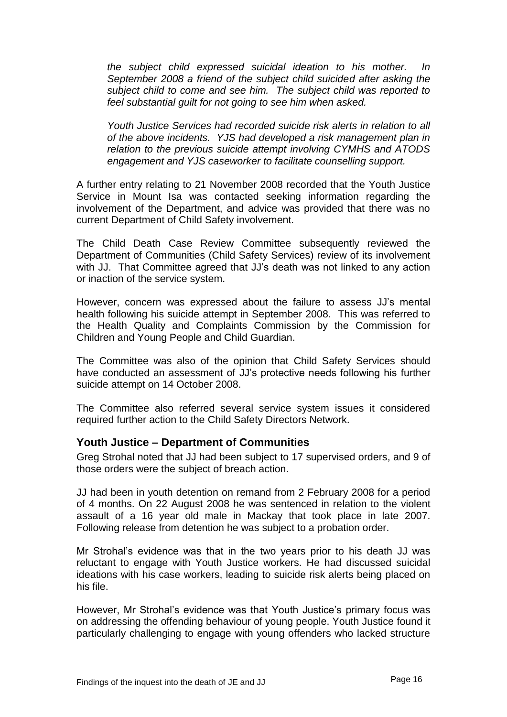*the subject child expressed suicidal ideation to his mother. In September 2008 a friend of the subject child suicided after asking the subject child to come and see him. The subject child was reported to feel substantial guilt for not going to see him when asked.*

*Youth Justice Services had recorded suicide risk alerts in relation to all of the above incidents. YJS had developed a risk management plan in relation to the previous suicide attempt involving CYMHS and ATODS engagement and YJS caseworker to facilitate counselling support.*

A further entry relating to 21 November 2008 recorded that the Youth Justice Service in Mount Isa was contacted seeking information regarding the involvement of the Department, and advice was provided that there was no current Department of Child Safety involvement.

The Child Death Case Review Committee subsequently reviewed the Department of Communities (Child Safety Services) review of its involvement with JJ. That Committee agreed that JJ's death was not linked to any action or inaction of the service system.

However, concern was expressed about the failure to assess JJ's mental health following his suicide attempt in September 2008. This was referred to the Health Quality and Complaints Commission by the Commission for Children and Young People and Child Guardian.

The Committee was also of the opinion that Child Safety Services should have conducted an assessment of JJ's protective needs following his further suicide attempt on 14 October 2008.

The Committee also referred several service system issues it considered required further action to the Child Safety Directors Network.

#### <span id="page-17-0"></span>**Youth Justice – Department of Communities**

Greg Strohal noted that JJ had been subject to 17 supervised orders, and 9 of those orders were the subject of breach action.

JJ had been in youth detention on remand from 2 February 2008 for a period of 4 months. On 22 August 2008 he was sentenced in relation to the violent assault of a 16 year old male in Mackay that took place in late 2007. Following release from detention he was subject to a probation order.

Mr Strohal's evidence was that in the two years prior to his death JJ was reluctant to engage with Youth Justice workers. He had discussed suicidal ideations with his case workers, leading to suicide risk alerts being placed on his file.

However, Mr Strohal's evidence was that Youth Justice's primary focus was on addressing the offending behaviour of young people. Youth Justice found it particularly challenging to engage with young offenders who lacked structure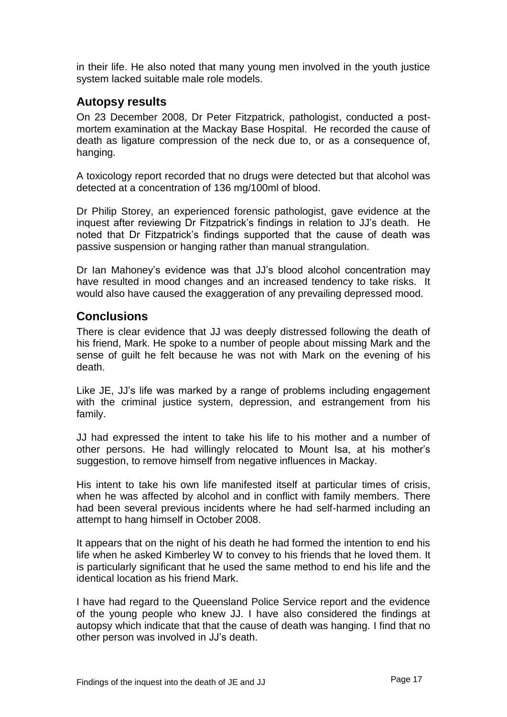in their life. He also noted that many young men involved in the youth justice system lacked suitable male role models.

#### <span id="page-18-0"></span>**Autopsy results**

On 23 December 2008, Dr Peter Fitzpatrick, pathologist, conducted a postmortem examination at the Mackay Base Hospital. He recorded the cause of death as ligature compression of the neck due to, or as a consequence of, hanging.

A toxicology report recorded that no drugs were detected but that alcohol was detected at a concentration of 136 mg/100ml of blood.

Dr Philip Storey, an experienced forensic pathologist, gave evidence at the inquest after reviewing Dr Fitzpatrick's findings in relation to JJ's death. He noted that Dr Fitzpatrick's findings supported that the cause of death was passive suspension or hanging rather than manual strangulation.

Dr Ian Mahoney's evidence was that JJ's blood alcohol concentration may have resulted in mood changes and an increased tendency to take risks. It would also have caused the exaggeration of any prevailing depressed mood.

#### <span id="page-18-1"></span>**Conclusions**

There is clear evidence that JJ was deeply distressed following the death of his friend, Mark. He spoke to a number of people about missing Mark and the sense of guilt he felt because he was not with Mark on the evening of his death.

Like JE, JJ's life was marked by a range of problems including engagement with the criminal justice system, depression, and estrangement from his family.

JJ had expressed the intent to take his life to his mother and a number of other persons. He had willingly relocated to Mount Isa, at his mother's suggestion, to remove himself from negative influences in Mackay.

His intent to take his own life manifested itself at particular times of crisis, when he was affected by alcohol and in conflict with family members. There had been several previous incidents where he had self-harmed including an attempt to hang himself in October 2008.

It appears that on the night of his death he had formed the intention to end his life when he asked Kimberley W to convey to his friends that he loved them. It is particularly significant that he used the same method to end his life and the identical location as his friend Mark.

I have had regard to the Queensland Police Service report and the evidence of the young people who knew JJ. I have also considered the findings at autopsy which indicate that that the cause of death was hanging. I find that no other person was involved in JJ's death.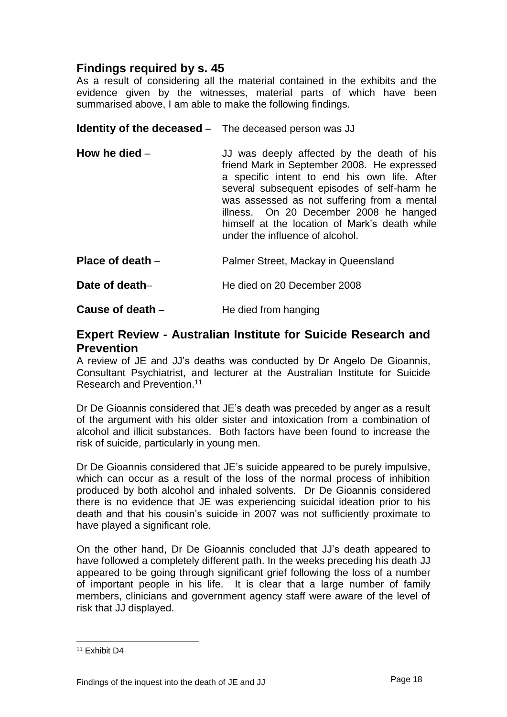## <span id="page-19-0"></span>**Findings required by s. 45**

As a result of considering all the material contained in the exhibits and the evidence given by the witnesses, material parts of which have been summarised above, I am able to make the following findings.

<span id="page-19-1"></span>**Identity of the deceased** – The deceased person was JJ

<span id="page-19-2"></span>**How he died** – **JJ** was deeply affected by the death of his friend Mark in September 2008. He expressed a specific intent to end his own life. After several subsequent episodes of self-harm he was assessed as not suffering from a mental illness. On 20 December 2008 he hanged himself at the location of Mark's death while under the influence of alcohol.

<span id="page-19-3"></span>**Place of death** – **Palmer Street, Mackay in Queensland** 

<span id="page-19-4"></span>**Date of death–** He died on 20 December 2008

<span id="page-19-5"></span>**Cause of death** – **He died from hanging** 

#### <span id="page-19-6"></span>**Expert Review - Australian Institute for Suicide Research and Prevention**

A review of JE and JJ's deaths was conducted by Dr Angelo De Gioannis, Consultant Psychiatrist, and lecturer at the Australian Institute for Suicide Research and Prevention. 11

Dr De Gioannis considered that JE's death was preceded by anger as a result of the argument with his older sister and intoxication from a combination of alcohol and illicit substances. Both factors have been found to increase the risk of suicide, particularly in young men.

Dr De Gioannis considered that JE's suicide appeared to be purely impulsive, which can occur as a result of the loss of the normal process of inhibition produced by both alcohol and inhaled solvents. Dr De Gioannis considered there is no evidence that JE was experiencing suicidal ideation prior to his death and that his cousin's suicide in 2007 was not sufficiently proximate to have played a significant role.

On the other hand, Dr De Gioannis concluded that JJ's death appeared to have followed a completely different path. In the weeks preceding his death JJ appeared to be going through significant grief following the loss of a number of important people in his life. It is clear that a large number of family members, clinicians and government agency staff were aware of the level of risk that JJ displayed.

<sup>11</sup> Exhibit D4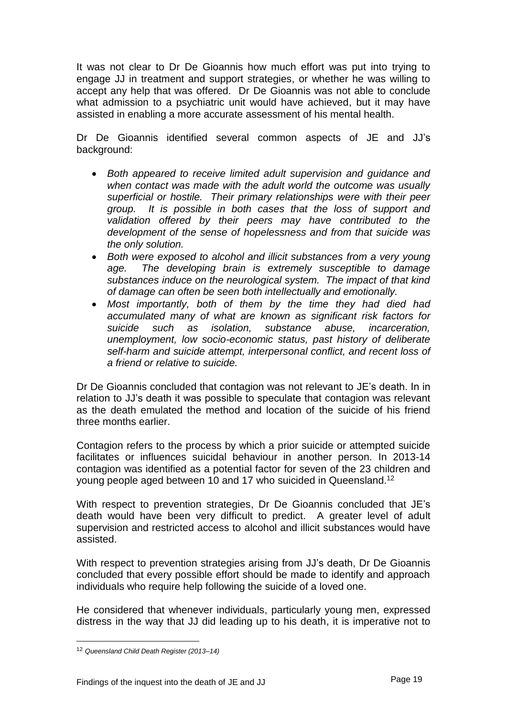It was not clear to Dr De Gioannis how much effort was put into trying to engage JJ in treatment and support strategies, or whether he was willing to accept any help that was offered. Dr De Gioannis was not able to conclude what admission to a psychiatric unit would have achieved, but it may have assisted in enabling a more accurate assessment of his mental health.

Dr De Gioannis identified several common aspects of JE and JJ's background:

- *Both appeared to receive limited adult supervision and guidance and when contact was made with the adult world the outcome was usually superficial or hostile. Their primary relationships were with their peer group. It is possible in both cases that the loss of support and*  validation offered by their peers may have contributed to the *development of the sense of hopelessness and from that suicide was the only solution.*
- *Both were exposed to alcohol and illicit substances from a very young age. The developing brain is extremely susceptible to damage substances induce on the neurological system. The impact of that kind of damage can often be seen both intellectually and emotionally.*
- *Most importantly, both of them by the time they had died had accumulated many of what are known as significant risk factors for suicide such as isolation, substance abuse, incarceration, unemployment, low socio-economic status, past history of deliberate self-harm and suicide attempt, interpersonal conflict, and recent loss of a friend or relative to suicide.*

Dr De Gioannis concluded that contagion was not relevant to JE's death. In in relation to JJ's death it was possible to speculate that contagion was relevant as the death emulated the method and location of the suicide of his friend three months earlier.

Contagion refers to the process by which a prior suicide or attempted suicide facilitates or influences suicidal behaviour in another person. In 2013-14 contagion was identified as a potential factor for seven of the 23 children and young people aged between 10 and 17 who suicided in Queensland.<sup>12</sup>

With respect to prevention strategies, Dr De Gioannis concluded that JE's death would have been very difficult to predict. A greater level of adult supervision and restricted access to alcohol and illicit substances would have assisted.

With respect to prevention strategies arising from JJ's death, Dr De Gioannis concluded that every possible effort should be made to identify and approach individuals who require help following the suicide of a loved one.

He considered that whenever individuals, particularly young men, expressed distress in the way that JJ did leading up to his death, it is imperative not to

<sup>12</sup> *Queensland Child Death Register (2013–14)*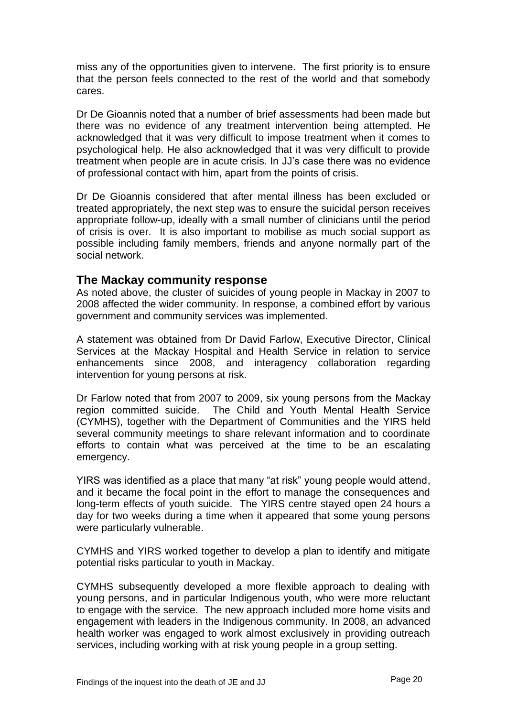miss any of the opportunities given to intervene. The first priority is to ensure that the person feels connected to the rest of the world and that somebody cares.

Dr De Gioannis noted that a number of brief assessments had been made but there was no evidence of any treatment intervention being attempted. He acknowledged that it was very difficult to impose treatment when it comes to psychological help. He also acknowledged that it was very difficult to provide treatment when people are in acute crisis. In JJ's case there was no evidence of professional contact with him, apart from the points of crisis.

Dr De Gioannis considered that after mental illness has been excluded or treated appropriately, the next step was to ensure the suicidal person receives appropriate follow-up, ideally with a small number of clinicians until the period of crisis is over. It is also important to mobilise as much social support as possible including family members, friends and anyone normally part of the social network.

#### <span id="page-21-0"></span>**The Mackay community response**

As noted above, the cluster of suicides of young people in Mackay in 2007 to 2008 affected the wider community. In response, a combined effort by various government and community services was implemented.

A statement was obtained from Dr David Farlow, Executive Director, Clinical Services at the Mackay Hospital and Health Service in relation to service enhancements since 2008, and interagency collaboration regarding intervention for young persons at risk.

Dr Farlow noted that from 2007 to 2009, six young persons from the Mackay region committed suicide. The Child and Youth Mental Health Service (CYMHS), together with the Department of Communities and the YIRS held several community meetings to share relevant information and to coordinate efforts to contain what was perceived at the time to be an escalating emergency.

YIRS was identified as a place that many "at risk" young people would attend, and it became the focal point in the effort to manage the consequences and long-term effects of youth suicide. The YIRS centre stayed open 24 hours a day for two weeks during a time when it appeared that some young persons were particularly vulnerable.

CYMHS and YIRS worked together to develop a plan to identify and mitigate potential risks particular to youth in Mackay.

CYMHS subsequently developed a more flexible approach to dealing with young persons, and in particular Indigenous youth, who were more reluctant to engage with the service. The new approach included more home visits and engagement with leaders in the Indigenous community. In 2008, an advanced health worker was engaged to work almost exclusively in providing outreach services, including working with at risk young people in a group setting.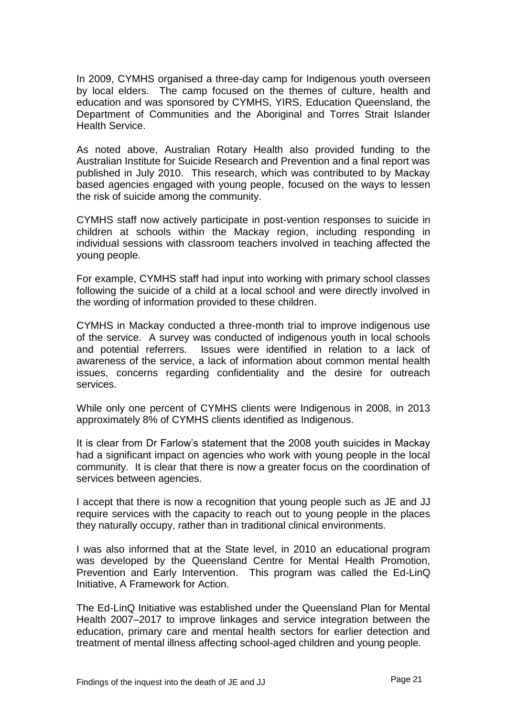In 2009, CYMHS organised a three-day camp for Indigenous youth overseen by local elders. The camp focused on the themes of culture, health and education and was sponsored by CYMHS, YIRS, Education Queensland, the Department of Communities and the Aboriginal and Torres Strait Islander Health Service.

As noted above, Australian Rotary Health also provided funding to the Australian Institute for Suicide Research and Prevention and a final report was published in July 2010. This research, which was contributed to by Mackay based agencies engaged with young people, focused on the ways to lessen the risk of suicide among the community.

CYMHS staff now actively participate in post-vention responses to suicide in children at schools within the Mackay region, including responding in individual sessions with classroom teachers involved in teaching affected the young people.

For example, CYMHS staff had input into working with primary school classes following the suicide of a child at a local school and were directly involved in the wording of information provided to these children.

CYMHS in Mackay conducted a three-month trial to improve indigenous use of the service. A survey was conducted of indigenous youth in local schools and potential referrers. Issues were identified in relation to a lack of awareness of the service, a lack of information about common mental health issues, concerns regarding confidentiality and the desire for outreach services.

While only one percent of CYMHS clients were Indigenous in 2008, in 2013 approximately 8% of CYMHS clients identified as Indigenous.

It is clear from Dr Farlow's statement that the 2008 youth suicides in Mackay had a significant impact on agencies who work with young people in the local community. It is clear that there is now a greater focus on the coordination of services between agencies.

I accept that there is now a recognition that young people such as JE and JJ require services with the capacity to reach out to young people in the places they naturally occupy, rather than in traditional clinical environments.

I was also informed that at the State level, in 2010 an educational program was developed by the Queensland Centre for Mental Health Promotion, Prevention and Early Intervention. This program was called the Ed-LinQ Initiative, A Framework for Action.

The Ed-LinQ Initiative was established under the Queensland Plan for Mental Health 2007–2017 to improve linkages and service integration between the education, primary care and mental health sectors for earlier detection and treatment of mental illness affecting school-aged children and young people.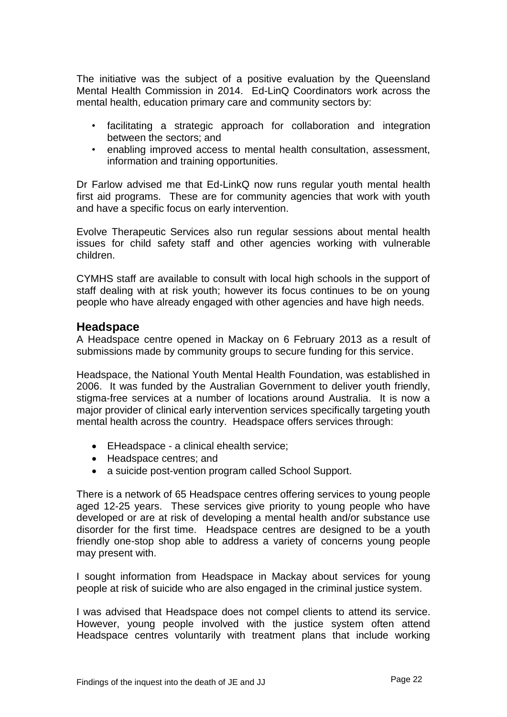The initiative was the subject of a positive evaluation by the Queensland Mental Health Commission in 2014. Ed-LinQ Coordinators work across the mental health, education primary care and community sectors by:

- facilitating a strategic approach for collaboration and integration between the sectors; and
- enabling improved access to mental health consultation, assessment, information and training opportunities.

Dr Farlow advised me that Ed-LinkQ now runs regular youth mental health first aid programs. These are for community agencies that work with youth and have a specific focus on early intervention.

Evolve Therapeutic Services also run regular sessions about mental health issues for child safety staff and other agencies working with vulnerable children.

<span id="page-23-0"></span>CYMHS staff are available to consult with local high schools in the support of staff dealing with at risk youth; however its focus continues to be on young people who have already engaged with other agencies and have high needs.

#### **Headspace**

A Headspace centre opened in Mackay on 6 February 2013 as a result of submissions made by community groups to secure funding for this service.

Headspace, the National Youth Mental Health Foundation, was established in 2006. It was funded by the Australian Government to deliver youth friendly, stigma-free services at a number of locations around Australia. It is now a major provider of clinical early intervention services specifically targeting youth mental health across the country. Headspace offers services through:

- EHeadspace a clinical ehealth service;
- Headspace centres; and
- a suicide post-vention program called School Support.

There is a network of 65 Headspace centres offering services to young people aged 12-25 years. These services give priority to young people who have developed or are at risk of developing a mental health and/or substance use disorder for the first time. Headspace centres are designed to be a youth friendly one-stop shop able to address a variety of concerns young people may present with.

I sought information from Headspace in Mackay about services for young people at risk of suicide who are also engaged in the criminal justice system.

I was advised that Headspace does not compel clients to attend its service. However, young people involved with the justice system often attend Headspace centres voluntarily with treatment plans that include working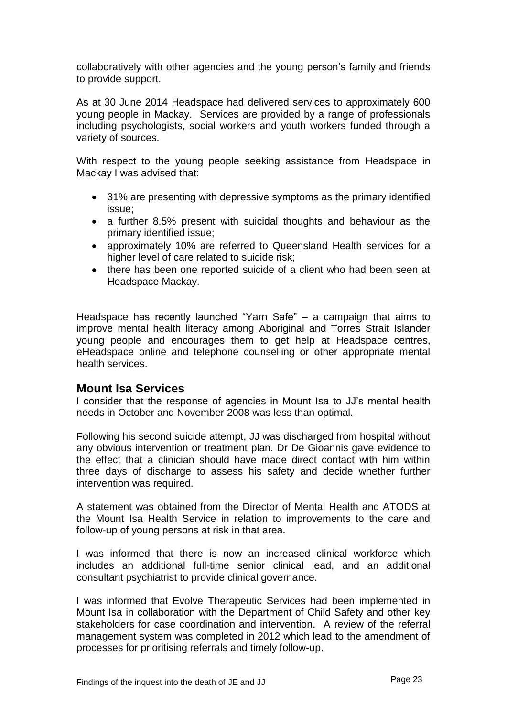collaboratively with other agencies and the young person's family and friends to provide support.

As at 30 June 2014 Headspace had delivered services to approximately 600 young people in Mackay. Services are provided by a range of professionals including psychologists, social workers and youth workers funded through a variety of sources.

With respect to the young people seeking assistance from Headspace in Mackay I was advised that:

- 31% are presenting with depressive symptoms as the primary identified issue;
- a further 8.5% present with suicidal thoughts and behaviour as the primary identified issue;
- approximately 10% are referred to Queensland Health services for a higher level of care related to suicide risk;
- there has been one reported suicide of a client who had been seen at Headspace Mackay.

Headspace has recently launched "Yarn Safe" – a campaign that aims to improve mental health literacy among Aboriginal and Torres Strait Islander young people and encourages them to get help at Headspace centres, eHeadspace online and telephone counselling or other appropriate mental health services.

#### <span id="page-24-0"></span>**Mount Isa Services**

I consider that the response of agencies in Mount Isa to JJ's mental health needs in October and November 2008 was less than optimal.

Following his second suicide attempt, JJ was discharged from hospital without any obvious intervention or treatment plan. Dr De Gioannis gave evidence to the effect that a clinician should have made direct contact with him within three days of discharge to assess his safety and decide whether further intervention was required.

A statement was obtained from the Director of Mental Health and ATODS at the Mount Isa Health Service in relation to improvements to the care and follow-up of young persons at risk in that area.

I was informed that there is now an increased clinical workforce which includes an additional full-time senior clinical lead, and an additional consultant psychiatrist to provide clinical governance.

I was informed that Evolve Therapeutic Services had been implemented in Mount Isa in collaboration with the Department of Child Safety and other key stakeholders for case coordination and intervention. A review of the referral management system was completed in 2012 which lead to the amendment of processes for prioritising referrals and timely follow-up.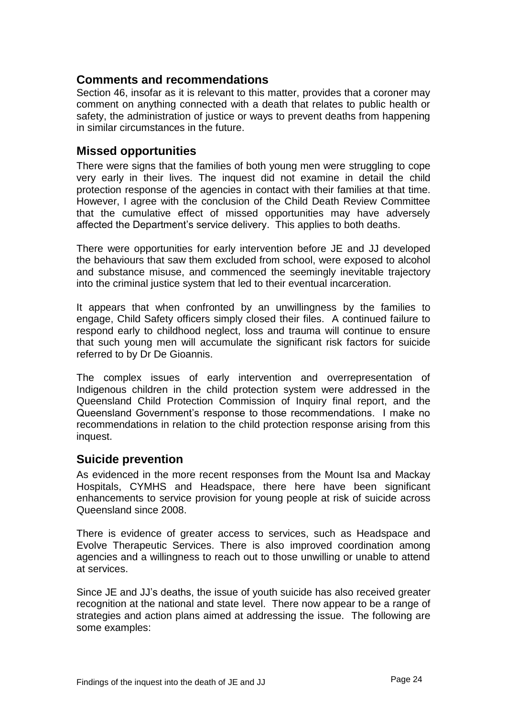#### <span id="page-25-0"></span>**Comments and recommendations**

Section 46, insofar as it is relevant to this matter, provides that a coroner may comment on anything connected with a death that relates to public health or safety, the administration of justice or ways to prevent deaths from happening in similar circumstances in the future.

#### <span id="page-25-1"></span>**Missed opportunities**

There were signs that the families of both young men were struggling to cope very early in their lives. The inquest did not examine in detail the child protection response of the agencies in contact with their families at that time. However, I agree with the conclusion of the Child Death Review Committee that the cumulative effect of missed opportunities may have adversely affected the Department's service delivery. This applies to both deaths.

There were opportunities for early intervention before JE and JJ developed the behaviours that saw them excluded from school, were exposed to alcohol and substance misuse, and commenced the seemingly inevitable trajectory into the criminal justice system that led to their eventual incarceration.

It appears that when confronted by an unwillingness by the families to engage, Child Safety officers simply closed their files. A continued failure to respond early to childhood neglect, loss and trauma will continue to ensure that such young men will accumulate the significant risk factors for suicide referred to by Dr De Gioannis.

The complex issues of early intervention and overrepresentation of Indigenous children in the child protection system were addressed in the Queensland Child Protection Commission of Inquiry final report, and the Queensland Government's response to those recommendations. I make no recommendations in relation to the child protection response arising from this inquest.

#### <span id="page-25-2"></span>**Suicide prevention**

As evidenced in the more recent responses from the Mount Isa and Mackay Hospitals, CYMHS and Headspace, there here have been significant enhancements to service provision for young people at risk of suicide across Queensland since 2008.

There is evidence of greater access to services, such as Headspace and Evolve Therapeutic Services. There is also improved coordination among agencies and a willingness to reach out to those unwilling or unable to attend at services.

Since JE and JJ's deaths, the issue of youth suicide has also received greater recognition at the national and state level. There now appear to be a range of strategies and action plans aimed at addressing the issue. The following are some examples: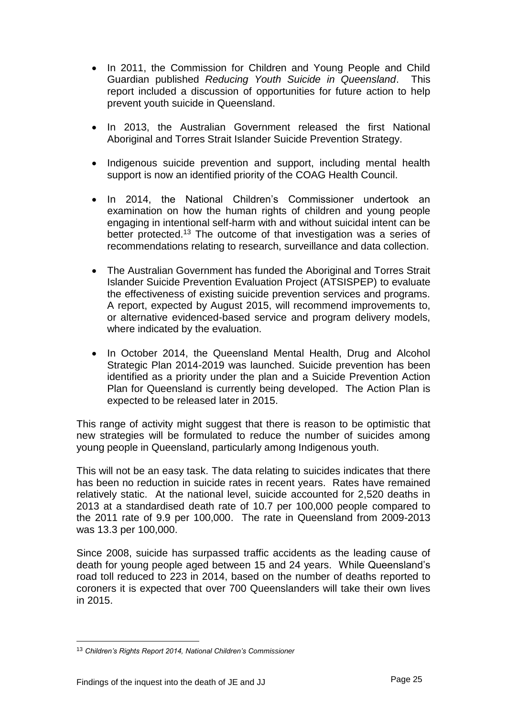- In 2011, the Commission for Children and Young People and Child Guardian published *Reducing Youth Suicide in Queensland*. This report included a discussion of opportunities for future action to help prevent youth suicide in Queensland.
- In 2013, the Australian Government released the first National Aboriginal and Torres Strait Islander Suicide Prevention Strategy.
- Indigenous suicide prevention and support, including mental health support is now an identified priority of the COAG Health Council.
- In 2014, the National Children's Commissioner undertook an examination on how the human rights of children and young people engaging in intentional self-harm with and without suicidal intent can be better protected.<sup>13</sup> The outcome of that investigation was a series of recommendations relating to research, surveillance and data collection.
- The Australian Government has funded the Aboriginal and Torres Strait Islander Suicide Prevention Evaluation Project (ATSISPEP) to evaluate the effectiveness of existing suicide prevention services and programs. A report, expected by August 2015, will recommend improvements to, or alternative evidenced-based service and program delivery models, where indicated by the evaluation.
- In October 2014, the Queensland Mental Health, Drug and Alcohol Strategic Plan 2014-2019 was launched. Suicide prevention has been identified as a priority under the plan and a Suicide Prevention Action Plan for Queensland is currently being developed. The Action Plan is expected to be released later in 2015.

This range of activity might suggest that there is reason to be optimistic that new strategies will be formulated to reduce the number of suicides among young people in Queensland, particularly among Indigenous youth.

This will not be an easy task. The data relating to suicides indicates that there has been no reduction in suicide rates in recent years. Rates have remained relatively static. At the national level, suicide accounted for 2,520 deaths in 2013 at a standardised death rate of 10.7 per 100,000 people compared to the 2011 rate of 9.9 per 100,000. The rate in Queensland from 2009-2013 was 13.3 per 100,000.

Since 2008, suicide has surpassed traffic accidents as the leading cause of death for young people aged between 15 and 24 years. While Queensland's road toll reduced to 223 in 2014, based on the number of deaths reported to coroners it is expected that over 700 Queenslanders will take their own lives in 2015.

<sup>13</sup> *Children's Rights Report 2014, National Children's Commissioner*